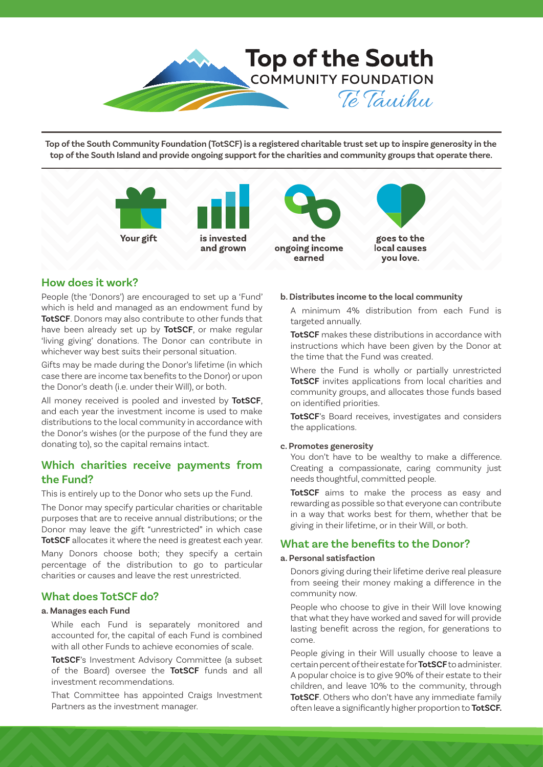

**Top of the South Community Foundation (TotSCF) is a registered charitable trust set up to inspire generosity in the top of the South Island and provide ongoing support for the charities and community groups that operate there.**



# **How does it work?**

People (the 'Donors') are encouraged to set up a 'Fund' which is held and managed as an endowment fund by **TotSCF**. Donors may also contribute to other funds that have been already set up by **TotSCF**, or make regular 'living giving' donations. The Donor can contribute in whichever way best suits their personal situation.

Gifts may be made during the Donor's lifetime (in which case there are income tax benefits to the Donor) or upon the Donor's death (i.e. under their Will), or both.

All money received is pooled and invested by **TotSCF**, and each year the investment income is used to make distributions to the local community in accordance with the Donor's wishes (or the purpose of the fund they are donating to), so the capital remains intact.

# **Which charities receive payments from the Fund?**

This is entirely up to the Donor who sets up the Fund.

The Donor may specify particular charities or charitable purposes that are to receive annual distributions; or the Donor may leave the gift "unrestricted" in which case **TotSCF** allocates it where the need is greatest each year.

Many Donors choose both; they specify a certain percentage of the distribution to go to particular charities or causes and leave the rest unrestricted.

# **What does TotSCF do?**

## **a. Manages each Fund**

While each Fund is separately monitored and accounted for, the capital of each Fund is combined with all other Funds to achieve economies of scale.

**TotSCF**'s Investment Advisory Committee (a subset of the Board) oversee the **TotSCF** funds and all investment recommendations.

That Committee has appointed Craigs Investment Partners as the investment manager.

## **b. Distributes income to the local community**

A minimum 4% distribution from each Fund is targeted annually.

**TotSCF** makes these distributions in accordance with instructions which have been given by the Donor at the time that the Fund was created.

Where the Fund is wholly or partially unrestricted **TotSCF** invites applications from local charities and community groups, and allocates those funds based on identified priorities.

**TotSCF**'s Board receives, investigates and considers the applications.

#### **c. Promotes generosity**

You don't have to be wealthy to make a difference. Creating a compassionate, caring community just needs thoughtful, committed people.

**TotSCF** aims to make the process as easy and rewarding as possible so that everyone can contribute in a way that works best for them, whether that be giving in their lifetime, or in their Will, or both.

# **What are the benefits to the Donor?**

## **a. Personal satisfaction**

Donors giving during their lifetime derive real pleasure from seeing their money making a difference in the community now.

People who choose to give in their Will love knowing that what they have worked and saved for will provide lasting benefit across the region, for generations to come.

People giving in their Will usually choose to leave a certain percent of their estate for **TotSCF** to administer. A popular choice is to give 90% of their estate to their children, and leave 10% to the community, through **TotSCF**. Others who don't have any immediate family often leave a significantly higher proportion to **TotSCF.**